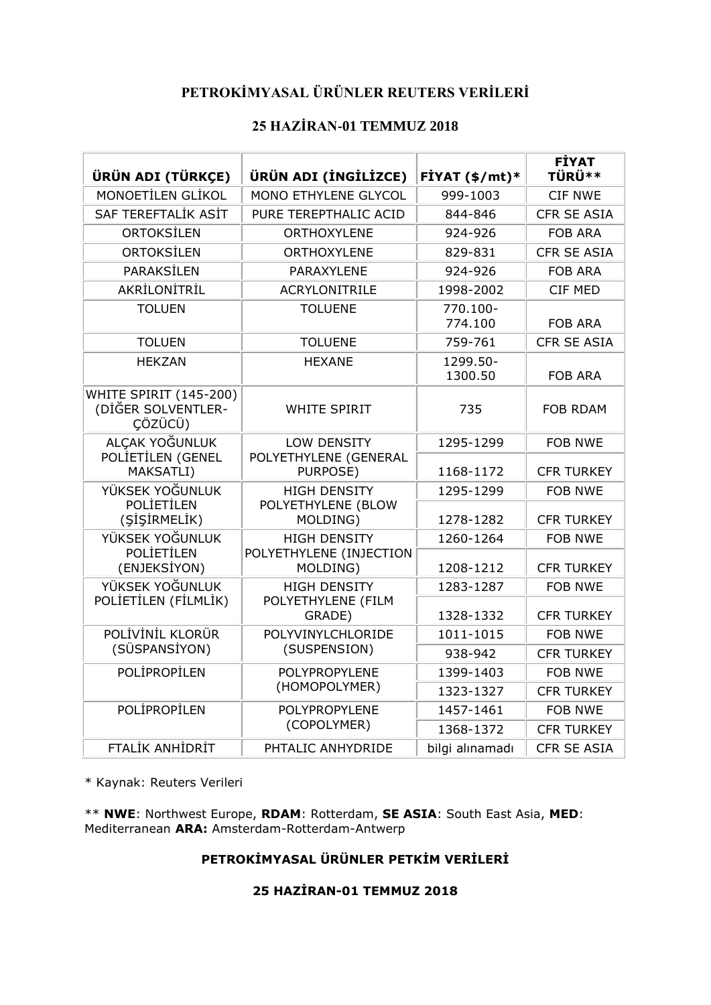## **PETROKİMYASAL ÜRÜNLER REUTERS VERİLERİ**

## **25 HAZİRAN-01 TEMMUZ 2018**

| ÜRÜN ADI (TÜRKÇE)                                              | ÜRÜN ADI (İNGİLİZCE)                                     | FİYAT $(\frac{2}{3})$ mt)* | <b>FİYAT</b><br>TÜRÜ** |
|----------------------------------------------------------------|----------------------------------------------------------|----------------------------|------------------------|
| MONOETİLEN GLİKOL                                              | MONO ETHYLENE GLYCOL                                     | 999-1003                   | <b>CIF NWE</b>         |
| SAF TEREFTALİK ASİT                                            | PURE TEREPTHALIC ACID                                    | 844-846                    | <b>CFR SE ASIA</b>     |
| ORTOKSİLEN                                                     | <b>ORTHOXYLENE</b>                                       | 924-926                    | <b>FOB ARA</b>         |
| <b>ORTOKSİLEN</b>                                              | <b>ORTHOXYLENE</b>                                       | 829-831                    | <b>CFR SE ASIA</b>     |
| <b>PARAKSİLEN</b>                                              | PARAXYLENE                                               | 924-926                    | <b>FOB ARA</b>         |
| AKRİLONİTRİL                                                   | <b>ACRYLONITRILE</b>                                     | 1998-2002                  | CIF MED                |
| <b>TOLUEN</b>                                                  | <b>TOLUENE</b>                                           | 770.100-<br>774.100        | <b>FOB ARA</b>         |
| <b>TOLUEN</b>                                                  | <b>TOLUENE</b>                                           | 759-761                    | <b>CFR SE ASIA</b>     |
| <b>HEKZAN</b>                                                  | <b>HEXANE</b>                                            | 1299.50-<br>1300.50        | <b>FOB ARA</b>         |
| <b>WHITE SPIRIT (145-200)</b><br>(DİĞER SOLVENTLER-<br>ÇÖZÜCÜ) | <b>WHITE SPIRIT</b>                                      | 735                        | <b>FOB RDAM</b>        |
| ALCAK YOĞUNLUK                                                 | LOW DENSITY                                              | 1295-1299                  | <b>FOB NWE</b>         |
| POLIETILEN (GENEL<br>MAKSATLI)                                 | POLYETHYLENE (GENERAL<br>PURPOSE)                        |                            | <b>CFR TURKEY</b>      |
| YÜKSEK YOĞUNLUK                                                | <b>HIGH DENSITY</b>                                      | 1295-1299                  | <b>FOB NWE</b>         |
| <b>POLİETİLEN</b><br>(SİŞİRMELİK)                              | POLYETHYLENE (BLOW<br>MOLDING)                           | 1278-1282                  | <b>CFR TURKEY</b>      |
| YÜKSEK YOĞUNLUK                                                | <b>HIGH DENSITY</b>                                      | 1260-1264                  | <b>FOB NWE</b>         |
| (ENJEKSİYON)                                                   | <b>POLİETİLEN</b><br>POLYETHYLENE (INJECTION<br>MOLDING) |                            | <b>CFR TURKEY</b>      |
|                                                                | YÜKSEK YOĞUNLUK<br><b>HIGH DENSITY</b>                   |                            | <b>FOB NWE</b>         |
| POLİETİLEN (FİLMLİK)                                           | POLYETHYLENE (FILM<br>GRADE)                             | 1328-1332                  | <b>CFR TURKEY</b>      |
| POLİVİNİL KLORÜR<br>POLYVINYLCHLORIDE                          |                                                          | 1011-1015                  | <b>FOB NWE</b>         |
| (SÜSPANSİYON)                                                  | (SUSPENSION)                                             | 938-942                    | <b>CFR TURKEY</b>      |
| POLİPROPİLEN                                                   | <b>POLYPROPYLENE</b>                                     | 1399-1403                  | <b>FOB NWE</b>         |
|                                                                | (HOMOPOLYMER)                                            | 1323-1327                  | <b>CFR TURKEY</b>      |
| POLİPROPİLEN                                                   | POLYPROPYLENE                                            | 1457-1461                  | <b>FOB NWE</b>         |
|                                                                | (COPOLYMER)                                              | 1368-1372                  | <b>CFR TURKEY</b>      |
| <b>FTALIK ANHIDRIT</b>                                         | PHTALIC ANHYDRIDE                                        | bilgi alınamadı            | <b>CFR SE ASIA</b>     |

\* Kaynak: Reuters Verileri

\*\* **NWE**: Northwest Europe, **RDAM**: Rotterdam, **SE ASIA**: South East Asia, **MED**: Mediterranean **ARA:** Amsterdam-Rotterdam-Antwerp

## **PETROKİMYASAL ÜRÜNLER PETKİM VERİLERİ**

## **25 HAZİRAN-01 TEMMUZ 2018**